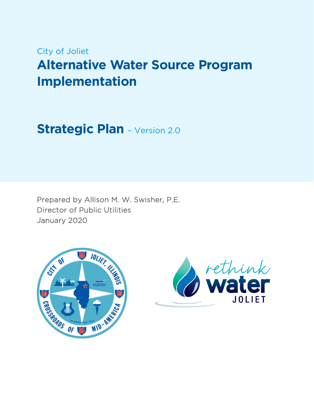# City of Joliet

# **Alternative Water Source Program Implementation**

**Strategic Plan** – Version 2.0

Prepared by Allison M. W. Swisher, P.E. Director of Public Utilities January 2020



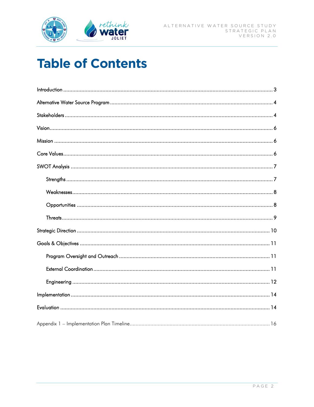

# **Table of Contents**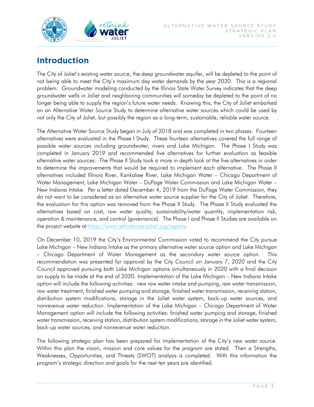

# **Introduction**

The City of Joliet's existing water source, the deep groundwater aquifer, will be depleted to the point of not being able to meet the City's maximum day water demands by the year 2030. This is a regional problem. Groundwater modeling conducted by the Illinois State Water Survey indicates that the deep groundwater wells in Joliet and neighboring communities will someday be depleted to the point of no longer being able to supply the region's future water needs. Knowing this, the City of Joliet embarked on an Alternative Water Source Study to determine alternative water sources which could be used by not only the City of Joliet, but possibly the region as a long-term, sustainable, reliable water source.

The Alternative Water Source Study began in July of 2018 and was completed in two phases. Fourteen alternatives were evaluated in the Phase I Study. These fourteen alternatives covered the full range of possible water sources including groundwater, rivers and Lake Michigan. The Phase I Study was completed in January 2019 and recommended five alternatives for further evaluation as feasible alternative water sources. The Phase II Study took a more in depth look at the five alternatives in order to determine the improvements that would be required to implement each alternative. The Phase II alternatives included Illinois River, Kankakee River, Lake Michigan Water – Chicago Department of Water Management, Lake Michigan Water – DuPage Water Commission and Lake Michigan Water – New Indiana Intake. Per a letter dated December 4, 2019 from the DuPage Water Commission, they do not want to be considered as an alternative water source supplier for the City of Joliet. Therefore, the evaluation for this option was removed from the Phase II Study. The Phase II Study evaluated the alternatives based on cost, raw water quality, sustainability/water quantity, implementation risk, operation & maintenance, and control (governance). The Phase I and Phase II Studies are available on the project website at [https://www.rethinkwaterjoliet.org/reports.](https://www.rethinkwaterjoliet.org/reports)

On December 10, 2019 the City's Environmental Commission voted to recommend the City pursue Lake Michigan – New Indiana Intake as the primary alternative water source option and Lake Michigan – Chicago Department of Water Management as the secondary water source option. This recommendation was presented for approval by the City Council on January 7, 2020 and the City Council approved pursuing both Lake Michigan options simultaneously in 2020 with a final decision on supply to be made at the end of 2020. Implementation of the Lake Michigan – New Indiana Intake option will include the following activities: new raw water intake and pumping, raw water transmission, raw water treatment, finished water pumping and storage, finished water transmission, receiving station, distribution system modifications, storage in the Joliet water system, back-up water sources, and nonrevenue water reduction. Implementation of the Lake Michigan – Chicago Department of Water Management option will include the following activities: finished water pumping and storage, finished water transmission, receiving station, distribution system modifications, storage in the Joliet water system, back-up water sources, and nonrevenue water reduction.

The following strategic plan has been prepared for implementation of the City's new water source. Within this plan the vision, mission and core values for the program are stated. Then a Strengths, Weaknesses, Opportunities, and Threats (SWOT) analysis is completed. With this information the program's strategic direction and goals for the next ten years are identified.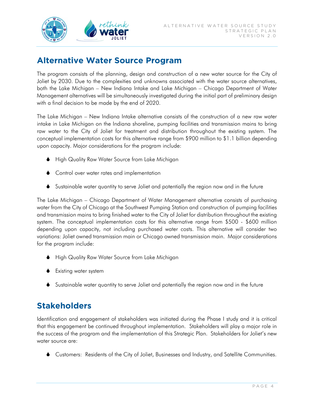

# **Alternative Water Source Program**

The program consists of the planning, design and construction of a new water source for the City of Joliet by 2030. Due to the complexities and unknowns associated with the water source alternatives, both the Lake Michigan – New Indiana Intake and Lake Michigan – Chicago Department of Water Management alternatives will be simultaneously investigated during the initial part of preliminary design with a final decision to be made by the end of 2020.

The Lake Michigan – New Indiana Intake alternative consists of the construction of a new raw water intake in Lake Michigan on the Indiana shoreline, pumping facilities and transmission mains to bring raw water to the City of Joliet for treatment and distribution throughout the existing system. The conceptual implementation costs for this alternative range from \$900 million to \$1.1 billion depending upon capacity. Major considerations for the program include:

- ♦ High Quality Raw Water Source from Lake Michigan
- ♦ Control over water rates and implementation
- Sustainable water quantity to serve Joliet and potentially the region now and in the future

The Lake Michigan – Chicago Department of Water Management alternative consists of purchasing water from the City of Chicago at the Southwest Pumping Station and construction of pumping facilities and transmission mains to bring finished water to the City of Joliet for distribution throughout the existing system. The conceptual implementation costs for this alternative range from \$500 - \$600 million depending upon capacity, not including purchased water costs. This alternative will consider two variations: Joliet owned transmission main or Chicago owned transmission main. Major considerations for the program include:

- ♦ High Quality Raw Water Source from Lake Michigan
- **↓** Existing water system
- Sustainable water quantity to serve Joliet and potentially the region now and in the future

# **Stakeholders**

Identification and engagement of stakeholders was initiated during the Phase I study and it is critical that this engagement be continued throughout implementation. Stakeholders will play a major role in the success of the program and the implementation of this Strategic Plan. Stakeholders for Joliet's new water source are:

Customers: Residents of the City of Joliet, Businesses and Industry, and Satellite Communities.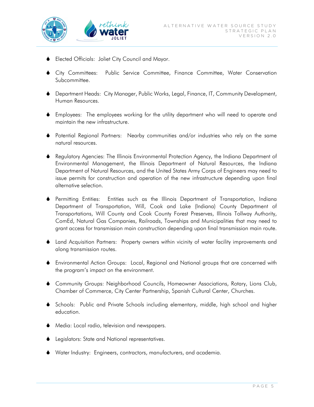

- Elected Officials: Joliet City Council and Mayor.
- City Committees: Public Service Committee, Finance Committee, Water Conservation Subcommittee.
- Department Heads: City Manager, Public Works, Legal, Finance, IT, Community Development, Human Resources.
- Employees: The employees working for the utility department who will need to operate and maintain the new infrastructure.
- Potential Regional Partners: Nearby communities and/or industries who rely on the same natural resources.
- Regulatory Agencies: The Illinois Environmental Protection Agency, the Indiana Department of Environmental Management, the Illinois Department of Natural Resources, the Indiana Department of Natural Resources, and the United States Army Corps of Engineers may need to issue permits for construction and operation of the new infrastructure depending upon final alternative selection.
- Permitting Entities: Entities such as the Illinois Department of Transportation, Indiana Department of Transportation, Will, Cook and Lake (Indiana) County Department of Transportations, Will County and Cook County Forest Preserves, Illinois Tollway Authority, ComEd, Natural Gas Companies, Railroads, Townships and Municipalities that may need to grant access for transmission main construction depending upon final transmission main route.
- Land Acquisition Partners: Property owners within vicinity of water facility improvements and along transmission routes.
- Environmental Action Groups: Local, Regional and National groups that are concerned with the program's impact on the environment.
- Community Groups: Neighborhood Councils, Homeowner Associations, Rotary, Lions Club, Chamber of Commerce, City Center Partnership, Spanish Cultural Center, Churches.
- Schools: Public and Private Schools including elementary, middle, high school and higher education.
- Media: Local radio, television and newspapers.
- **Legislators: State and National representatives.**
- Water Industry: Engineers, contractors, manufacturers, and academia.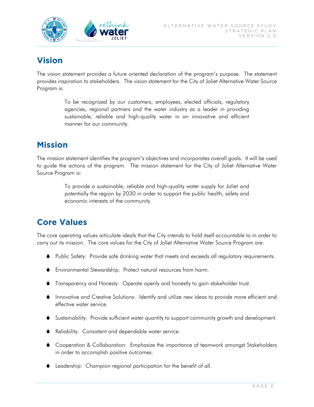

# **Vision**

The vision statement provides a future oriented declaration of the program's purpose. The statement provides inspiration to stakeholders. The vision statement for the City of Joliet Alternative Water Source Program is:

> To be recognized by our customers, employees, elected officials, regulatory agencies, regional partners and the water industry as a leader in providing sustainable, reliable and high-quality water in an innovative and efficient manner for our community.

# **Mission**

The mission statement identifies the program's objectives and incorporates overall goals. It will be used to guide the actions of the program. The mission statement for the City of Joliet Alternative Water Source Program is:

> To provide a sustainable, reliable and high-quality water supply for Joliet and potentially the region by 2030 in order to support the public health, safety and economic interests of the community.

# **Core Values**

The core operating values articulate ideals that the City intends to hold itself accountable to in order to carry out its mission. The core values for the City of Joliet Alternative Water Source Program are:

- Public Safety: Provide safe drinking water that meets and exceeds all regulatory requirements.
- Environmental Stewardship: Protect natural resources from harm.
- Transparency and Honesty: Operate openly and honestly to gain stakeholder trust.
- Innovative and Creative Solutions: Identify and utilize new ideas to provide more efficient and effective water service.
- Sustainability: Provide sufficient water quantity to support community growth and development.
- Reliability: Consistent and dependable water service.
- Cooperation & Collaboration: Emphasize the importance of teamwork amongst Stakeholders in order to accomplish positive outcomes.
- Leadership: Champion regional participation for the benefit of all.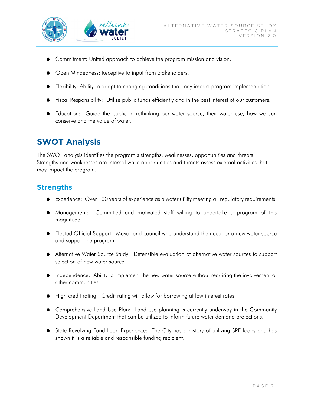

- Commitment: United approach to achieve the program mission and vision.
- ◆ Open Mindedness: Receptive to input from Stakeholders.
- Flexibility: Ability to adapt to changing conditions that may impact program implementation.
- Fiscal Responsibility: Utilize public funds efficiently and in the best interest of our customers.
- Education: Guide the public in rethinking our water source, their water use, how we can conserve and the value of water.

# **SWOT Analysis**

The SWOT analysis identifies the program's strengths, weaknesses, opportunities and threats. Strengths and weaknesses are internal while opportunities and threats assess external activities that may impact the program.

### **Strengths**

- Experience: Over 100 years of experience as a water utility meeting all regulatory requirements.
- Management: Committed and motivated staff willing to undertake a program of this magnitude.
- Elected Official Support: Mayor and council who understand the need for a new water source and support the program.
- Alternative Water Source Study: Defensible evaluation of alternative water sources to support selection of new water source.
- Independence: Ability to implement the new water source without requiring the involvement of other communities.
- High credit rating: Credit rating will allow for borrowing at low interest rates.
- Comprehensive Land Use Plan: Land use planning is currently underway in the Community Development Department that can be utilized to inform future water demand projections.
- State Revolving Fund Loan Experience: The City has a history of utilizing SRF loans and has shown it is a reliable and responsible funding recipient.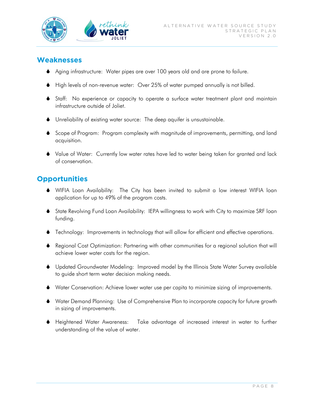

#### **Weaknesses**

- Aging infrastructure: Water pipes are over 100 years old and are prone to failure.
- High levels of non-revenue water: Over 25% of water pumped annually is not billed.
- Staff: No experience or capacity to operate a surface water treatment plant and maintain infrastructure outside of Joliet.
- Unreliability of existing water source: The deep aquifer is unsustainable.
- Scope of Program: Program complexity with magnitude of improvements, permitting, and land acquisition.
- Value of Water: Currently low water rates have led to water being taken for granted and lack of conservation.

### **Opportunities**

- WIFIA Loan Availability: The City has been invited to submit a low interest WIFIA loan application for up to 49% of the program costs.
- State Revolving Fund Loan Availability: IEPA willingness to work with City to maximize SRF loan funding.
- Technology: Improvements in technology that will allow for efficient and effective operations.
- Regional Cost Optimization: Partnering with other communities for a regional solution that will achieve lower water costs for the region.
- Updated Groundwater Modeling: Improved model by the Illinois State Water Survey available to guide short term water decision making needs.
- Water Conservation: Achieve lower water use per capita to minimize sizing of improvements.
- Water Demand Planning: Use of Comprehensive Plan to incorporate capacity for future growth in sizing of improvements.
- Heightened Water Awareness: Take advantage of increased interest in water to further understanding of the value of water.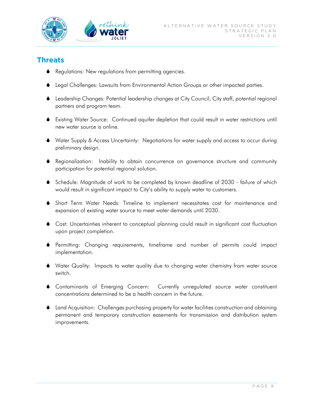

## **Threats**

- Regulations: New regulations from permitting agencies.
- Legal Challenges: Lawsuits from Environmental Action Groups or other impacted parties.
- Leadership Changes: Potential leadership changes at City Council, City staff, potential regional partners and program team.
- Existing Water Source: Continued aquifer depletion that could result in water restrictions until new water source is online.
- Water Supply & Access Uncertainty: Negotiations for water supply and access to occur during preliminary design.
- Regionalization: Inability to obtain concurrence on governance structure and community participation for potential regional solution.
- Schedule: Magnitude of work to be completed by known deadline of 2030 failure of which would result in significant impact to City's ability to supply water to customers.
- Short Term Water Needs: Timeline to implement necessitates cost for maintenance and expansion of existing water source to meet water demands until 2030.
- Cost: Uncertainties inherent to conceptual planning could result in significant cost fluctuation upon project completion.
- Permitting: Changing requirements, timeframe and number of permits could impact implementation.
- Water Quality: Impacts to water quality due to changing water chemistry from water source switch.
- Contaminants of Emerging Concern: Currently unregulated source water constituent concentrations determined to be a health concern in the future.
- Land Acquisition: Challenges purchasing property for water facilities construction and obtaining permanent and temporary construction easements for transmission and distribution system improvements.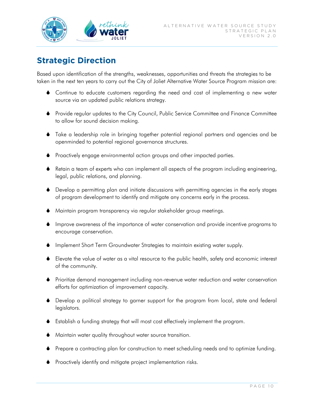

# **Strategic Direction**

Based upon identification of the strengths, weaknesses, opportunities and threats the strategies to be taken in the next ten years to carry out the City of Joliet Alternative Water Source Program mission are:

- Continue to educate customers regarding the need and cost of implementing a new water source via an updated public relations strategy.
- Provide regular updates to the City Council, Public Service Committee and Finance Committee to allow for sound decision making.
- Take a leadership role in bringing together potential regional partners and agencies and be openminded to potential regional governance structures.
- Proactively engage environmental action groups and other impacted parties.
- Retain a team of experts who can implement all aspects of the program including engineering, legal, public relations, and planning.
- Develop a permitting plan and initiate discussions with permitting agencies in the early stages of program development to identify and mitigate any concerns early in the process.
- Maintain program transparency via regular stakeholder group meetings.
- Improve awareness of the importance of water conservation and provide incentive programs to encourage conservation.
- Implement Short Term Groundwater Strategies to maintain existing water supply.
- Elevate the value of water as a vital resource to the public health, safety and economic interest of the community.
- Prioritize demand management including non-revenue water reduction and water conservation efforts for optimization of improvement capacity.
- Develop a political strategy to garner support for the program from local, state and federal legislators.
- Establish a funding strategy that will most cost effectively implement the program.
- Maintain water quality throughout water source transition.
- Prepare a contracting plan for construction to meet scheduling needs and to optimize funding.
- **•** Proactively identify and mitigate project implementation risks.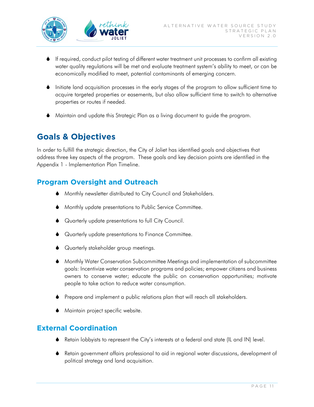

- If required, conduct pilot testing of different water treatment unit processes to confirm all existing water quality regulations will be met and evaluate treatment system's ability to meet, or can be economically modified to meet, potential contaminants of emerging concern.
- Initiate land acquisition processes in the early stages of the program to allow sufficient time to acquire targeted properties or easements, but also allow sufficient time to switch to alternative properties or routes if needed.
- Maintain and update this Strategic Plan as a living document to guide the program.

# **Goals & Objectives**

In order to fulfill the strategic direction, the City of Joliet has identified goals and objectives that address three key aspects of the program. These goals and key decision points are identified in the Appendix 1 - Implementation Plan Timeline.

### **Program Oversight and Outreach**

- Monthly newsletter distributed to City Council and Stakeholders.
- Monthly update presentations to Public Service Committee.
- ♦ Quarterly update presentations to full City Council.
- Quarterly update presentations to Finance Committee.
- Quarterly stakeholder group meetings.
- Monthly Water Conservation Subcommittee Meetings and implementation of subcommittee goals: Incentivize water conservation programs and policies; empower citizens and business owners to conserve water; educate the public on conservation opportunities; motivate people to take action to reduce water consumption.
- Prepare and implement a public relations plan that will reach all stakeholders.
- **Maintain project specific website.**

### **External Coordination**

- Retain lobbyists to represent the City's interests at a federal and state (IL and IN) level.
- Retain government affairs professional to aid in regional water discussions, development of political strategy and land acquisition.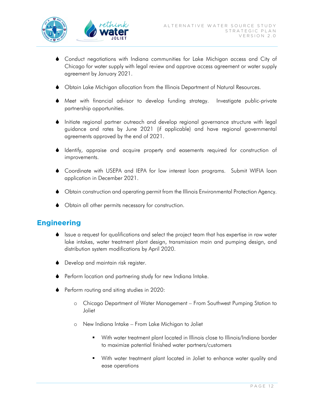

- Conduct negotiations with Indiana communities for Lake Michigan access and City of Chicago for water supply with legal review and approve access agreement or water supply agreement by January 2021.
- Obtain Lake Michigan allocation from the Illinois Department of Natural Resources.
- Meet with financial advisor to develop funding strategy. Investigate public-private partnership opportunities.
- Initiate regional partner outreach and develop regional governance structure with legal guidance and rates by June 2021 (if applicable) and have regional governmental agreements approved by the end of 2021.
- Identify, appraise and acquire property and easements required for construction of improvements.
- Coordinate with USEPA and IEPA for low interest loan programs. Submit WIFIA loan application in December 2021.
- Obtain construction and operating permit from the Illinois Environmental Protection Agency.
- Obtain all other permits necessary for construction.

#### **Engineering**

- Issue a request for qualifications and select the project team that has expertise in raw water lake intakes, water treatment plant design, transmission main and pumping design, and distribution system modifications by April 2020.
- **Develop and maintain risk register.**
- Perform location and partnering study for new Indiana Intake.
- **•** Perform routing and siting studies in 2020:
	- o Chicago Department of Water Management From Southwest Pumping Station to Joliet
	- o New Indiana Intake From Lake Michigan to Joliet
		- With water treatment plant located in Illinois close to Illinois/Indiana border to maximize potential finished water partners/customers
		- With water treatment plant located in Joliet to enhance water quality and ease operations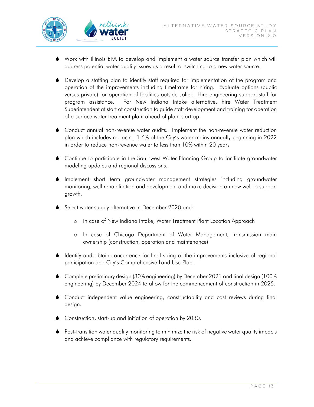

- Work with Illinois EPA to develop and implement a water source transfer plan which will address potential water quality issues as a result of switching to a new water source.
- Develop a staffing plan to identify staff required for implementation of the program and operation of the improvements including timeframe for hiring. Evaluate options (public versus private) for operation of facilities outside Joliet. Hire engineering support staff for program assistance. For New Indiana Intake alternative, hire Water Treatment Superintendent at start of construction to guide staff development and training for operation of a surface water treatment plant ahead of plant start-up.
- Conduct annual non-revenue water audits. Implement the non-revenue water reduction plan which includes replacing 1.6% of the City's water mains annually beginning in 2022 in order to reduce non-revenue water to less than 10% within 20 years
- Continue to participate in the Southwest Water Planning Group to facilitate groundwater modeling updates and regional discussions.
- Implement short term groundwater management strategies including groundwater monitoring, well rehabilitation and development and make decision on new well to support growth.
- Select water supply alternative in December 2020 and:
	- o In case of New Indiana Intake, Water Treatment Plant Location Approach
	- o In case of Chicago Department of Water Management, transmission main ownership (construction, operation and maintenance)
- Identify and obtain concurrence for final sizing of the improvements inclusive of regional participation and City's Comprehensive Land Use Plan.
- Complete preliminary design (30% engineering) by December 2021 and final design (100% engineering) by December 2024 to allow for the commencement of construction in 2025.
- Conduct independent value engineering, constructability and cost reviews during final design.
- Construction, start-up and initiation of operation by 2030.
- Post-transition water quality monitoring to minimize the risk of negative water quality impacts and achieve compliance with regulatory requirements.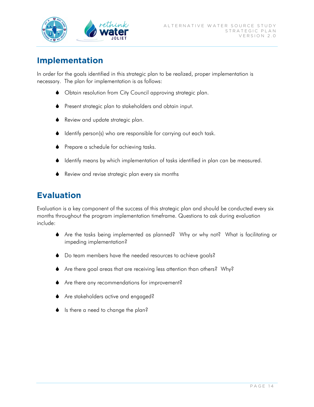

## **Implementation**

In order for the goals identified in this strategic plan to be realized, proper implementation is necessary. The plan for implementation is as follows:

- Obtain resolution from City Council approving strategic plan.
- Present strategic plan to stakeholders and obtain input.
- ◆ Review and update strategic plan.
- Identify person(s) who are responsible for carrying out each task.
- **•** Prepare a schedule for achieving tasks.
- Identify means by which implementation of tasks identified in plan can be measured.
- **◆** Review and revise strategic plan every six months

# **Evaluation**

Evaluation is a key component of the success of this strategic plan and should be conducted every six months throughout the program implementation timeframe. Questions to ask during evaluation include:

- Are the tasks being implemented as planned? Why or why not? What is facilitating or impeding implementation?
- ♦ Do team members have the needed resources to achieve goals?
- Are there goal areas that are receiving less attention than others? Why?
- Are there any recommendations for improvement?
- Are stakeholders active and engaged?
- ♦ Is there a need to change the plan?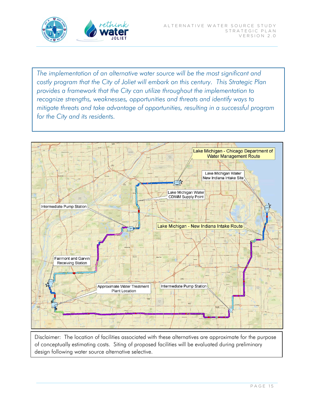

*The implementation of an alternative water source will be the most significant and costly program that the City of Joliet will embark on this century. This Strategic Plan provides a framework that the City can utilize throughout the implementation to recognize strengths, weaknesses, opportunities and threats and identify ways to mitigate threats and take advantage of opportunities, resulting in a successful program for the City and its residents.* 



Disclaimer: The location of facilities associated with these alternatives are approximate for the purpose of conceptually estimating costs. Siting of proposed facilities will be evaluated during preliminary design following water source alternative selective.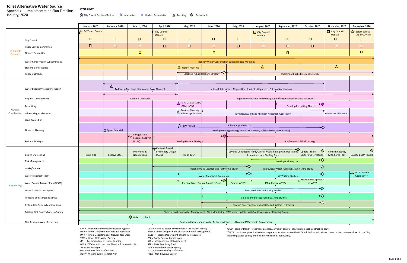IDNR = Illinois Department of Natural Resources InDNR = Indiana Department of Natural Resources ISWS = Illinois State Water Survey extending the PSC = Public Service Commission MOU - Memorandum of Understanding 
IGA = Intergovernmental Agreement

WIFIA = Water Infrastructure Finance & Innovation Act
SRF = State Revolving Fund

IGA = Water Infrastructure Finance & Innovation Act
SRF = State Revolv WIFIA = Water Infrastructure Finance & Innovation Act LM = Lake Michigan de Cameration SWA = Southland Water Agency RFQ = Request for Qualifications SOQ = Statement of Qualifications WSTP = Water Source Transfer Plan NRW - Non-Revenue Water

IDNR = Illinois Department of Natural Resources IDEM = Indiana Department of Environmental Management

\*\*WTP Location Approach ‐ Decision on general location where the WTP will be located ‐ either closer to the source or closer to the City (balancing water quality and flexibility to sell finished water).

|                         |                                                                                                                                                                                                                | January, 2020                                                                                               | February, 2020               | <b>March, 2020</b>                                   | <b>April, 2020</b>           | May, 2020                                                                 | <b>June, 2020</b>                                                                                                                                                        | <b>July, 2020</b>                                   | <b>August, 2020</b>                                      | September, 2020                               | October, 2020                    | November, 2020                              | December, 2020                |
|-------------------------|----------------------------------------------------------------------------------------------------------------------------------------------------------------------------------------------------------------|-------------------------------------------------------------------------------------------------------------|------------------------------|------------------------------------------------------|------------------------------|---------------------------------------------------------------------------|--------------------------------------------------------------------------------------------------------------------------------------------------------------------------|-----------------------------------------------------|----------------------------------------------------------|-----------------------------------------------|----------------------------------|---------------------------------------------|-------------------------------|
|                         |                                                                                                                                                                                                                | 1/7 Select Source                                                                                           |                              |                                                      | City Council                 |                                                                           |                                                                                                                                                                          |                                                     | City Council                                             |                                               |                                  | City Council<br>Update                      | Select Source<br>(IN or CDWM) |
| Oversight/<br>Outreach  | City Council                                                                                                                                                                                                   | $\circ$                                                                                                     | $\circ$                      | $\circ$                                              | Update<br>$\circ$            | $\circ$                                                                   | $\circ$                                                                                                                                                                  | $\circ$                                             | Update<br>$\circ$                                        | $\circ$                                       | $\circ$                          | $\circ$                                     | $\circ$                       |
|                         | <b>Public Service Committee</b>                                                                                                                                                                                | $\Box$                                                                                                      | $\Box$                       | $\Box$                                               | $\Box$                       | $\Box$                                                                    | $\Box$                                                                                                                                                                   | $\Box$                                              | $\Box$                                                   | $\Box$                                        | $\Box$                           | $\Box$                                      | $\Box$                        |
|                         | <b>Finance Committee</b>                                                                                                                                                                                       |                                                                                                             |                              | $\Box$                                               |                              |                                                                           |                                                                                                                                                                          |                                                     |                                                          | $\Box$                                        |                                  |                                             | $\Box$                        |
|                         |                                                                                                                                                                                                                | Monthly Water Conservation Subcommittee Meetings                                                            |                              |                                                      |                              |                                                                           |                                                                                                                                                                          |                                                     |                                                          |                                               |                                  |                                             |                               |
|                         | <b>Water Conservation Subcommittee</b>                                                                                                                                                                         |                                                                                                             |                              |                                                      |                              |                                                                           |                                                                                                                                                                          |                                                     |                                                          |                                               |                                  |                                             |                               |
|                         | <b>Stakeholder Meetings</b>                                                                                                                                                                                    |                                                                                                             |                              |                                                      |                              | $\Delta$ Kickoff Meeting                                                  | ◆                                                                                                                                                                        |                                                     | $\Delta$                                                 |                                               |                                  | Δ                                           |                               |
|                         | Public Outreach                                                                                                                                                                                                |                                                                                                             |                              |                                                      |                              | <b>Establish Public Relations Strategy</b>                                |                                                                                                                                                                          |                                                     |                                                          | <b>Implement Public Relations Strategy</b>    |                                  |                                             |                               |
|                         |                                                                                                                                                                                                                |                                                                                                             |                              |                                                      |                              |                                                                           |                                                                                                                                                                          |                                                     |                                                          |                                               |                                  |                                             |                               |
| Outside<br>Coordination | Water Supplier/Access Interaction                                                                                                                                                                              |                                                                                                             |                              | Follow-up Meetings (Hammond, SWA, Chicago)           |                              |                                                                           | Indiana Intake Access Negotiations (part of siting study), Chicago Negotiations                                                                                          |                                                     |                                                          |                                               |                                  |                                             |                               |
|                         | <b>Regional Development</b>                                                                                                                                                                                    |                                                                                                             |                              | Regional Outreach                                    |                              | Regional Discussions and Investigation of Potential Governance Structures |                                                                                                                                                                          |                                                     |                                                          |                                               |                                  |                                             |                               |
|                         |                                                                                                                                                                                                                |                                                                                                             |                              |                                                      |                              | <b>A</b> IEPA, USEPA, IDNR,<br>IDEM, InDNR                                |                                                                                                                                                                          |                                                     |                                                          |                                               |                                  |                                             |                               |
|                         | Permitting                                                                                                                                                                                                     |                                                                                                             |                              |                                                      |                              | Pre-App Meeting,                                                          |                                                                                                                                                                          |                                                     | <b>Develop Permitting Plans</b>                          |                                               |                                  |                                             |                               |
|                         | Lake Michigan Allocation                                                                                                                                                                                       |                                                                                                             |                              |                                                      |                              | Submit Application                                                        |                                                                                                                                                                          |                                                     | IDNR Review of Lake Michigan Allocation Application      |                                               |                                  | <b>Obtain LM Allocation</b>                 |                               |
|                         | Land Acquisition                                                                                                                                                                                               |                                                                                                             |                              |                                                      |                              |                                                                           |                                                                                                                                                                          |                                                     |                                                          |                                               |                                  |                                             |                               |
|                         | <b>Financial Planning</b>                                                                                                                                                                                      |                                                                                                             | $ \triangle$ Speer Financial |                                                      |                              | $\Delta$ IEPA for SRF                                                     | Submit Sup. WIFIA LOI<br>$\bm{\leftrightarrow}$<br>Develop Funding Strategy (WIFIA, SRF, Bonds, Public-Private Partnerships)                                             |                                                     |                                                          |                                               |                                  |                                             |                               |
|                         |                                                                                                                                                                                                                |                                                                                                             |                              | Engage State,                                        |                              |                                                                           | ▶◇│◆                                                                                                                                                                     |                                                     |                                                          |                                               |                                  |                                             |                               |
|                         | <b>Political Strategy</b>                                                                                                                                                                                      |                                                                                                             |                              | $\overline{\mathsf{X}}$ Federal Lobbyist<br>(IL, IN) |                              | <b>Develop Political Strategy</b>                                         |                                                                                                                                                                          |                                                     | <b>Implement Political Strategy</b>                      |                                               |                                  |                                             |                               |
|                         |                                                                                                                                                                                                                |                                                                                                             |                              |                                                      | Contract Award               |                                                                           |                                                                                                                                                                          |                                                     |                                                          |                                               |                                  | $\Diamond$                                  |                               |
|                         | Design Engineering                                                                                                                                                                                             | <b>Issue RFQ</b>                                                                                            | <b>Receive SOQs</b>          | Interviews &<br><b>Negotiations</b>                  | Preliminary Design<br>(4/21) | Initial BOD*                                                              | ◇<br>Develop Contracting Plans, Overall Programming Plan, Operations<br><b>Update Project</b><br><b>Evaluations, and Staffing Plans</b><br><b>Costs for Alternatives</b> |                                                     |                                                          |                                               |                                  | <b>Confirm Capacity</b><br>(with Comp Plan) | Update BOD* Report            |
|                         | <b>Risk Management</b>                                                                                                                                                                                         |                                                                                                             |                              |                                                      |                              |                                                                           |                                                                                                                                                                          | $\rightsquigarrow$<br><b>Develop Risk Registers</b> |                                                          |                                               |                                  |                                             |                               |
|                         | Intake/Source                                                                                                                                                                                                  |                                                                                                             |                              |                                                      |                              |                                                                           | $\boldsymbol{\diamond}$<br>Indiana Intake Location and Partnering Study                                                                                                  |                                                     |                                                          | Intake/Raw Water Pumping Station Siting Study | $\Diamond$                       |                                             |                               |
|                         | <b>Water Treatment Plant</b>                                                                                                                                                                                   |                                                                                                             |                              |                                                      |                              | <b>Water Treatment Evaluation</b>                                         |                                                                                                                                                                          |                                                     | ♦<br>$\bm{\leftrightarrow}$<br><b>WTP Siting Studies</b> |                                               |                                  | WTP Location<br>Approach**                  |                               |
| Engineering             | Water Source Transfer Plan (WSTP)                                                                                                                                                                              |                                                                                                             |                              |                                                      |                              | Prepare Water Source Transfer Plans                                       |                                                                                                                                                                          | <b>Submit WSTPs</b>                                 |                                                          | <b>IEPA Review WSTPs</b>                      | Receive IEPA Approval<br>of WSTP |                                             |                               |
|                         | <b>Water Transmission System</b>                                                                                                                                                                               |                                                                                                             |                              |                                                      |                              |                                                                           | <b>Transmission Main Routing Studies</b>                                                                                                                                 |                                                     |                                                          | $\bm{\diamond}$                               |                                  |                                             |                               |
|                         | Pumping and Storage Facilities                                                                                                                                                                                 |                                                                                                             |                              |                                                      |                              |                                                                           | $\bm{\leftrightarrow}$<br><b>Pumping and Storage Facilities Siting Studies</b>                                                                                           |                                                     |                                                          |                                               |                                  |                                             |                               |
|                         | <b>Distribution System Modifications</b>                                                                                                                                                                       |                                                                                                             |                              |                                                      |                              |                                                                           | $\bm{\diamond}$<br>Confirm Receiving Station Location and System Hydraulics                                                                                              |                                                     |                                                          |                                               |                                  |                                             |                               |
|                         | Existing Well Source/Back-up Supply                                                                                                                                                                            | Short-term Groundwater Management - Well Monitoring, ISWS model updates with Southwest Water Planning Group |                              |                                                      |                              |                                                                           |                                                                                                                                                                          |                                                     |                                                          |                                               |                                  |                                             |                               |
|                         |                                                                                                                                                                                                                |                                                                                                             |                              | ♦ Water Loss Audit                                   |                              |                                                                           |                                                                                                                                                                          |                                                     |                                                          |                                               |                                  |                                             |                               |
|                         | Non-Revenue Water Reduction                                                                                                                                                                                    |                                                                                                             |                              |                                                      |                              |                                                                           | Continued Non-revenue Water Reduction Efforts, 1.0% Annual Watermain Replacement                                                                                         |                                                     |                                                          |                                               |                                  |                                             |                               |
|                         | IEPA = Illinois Environmental Protection Agency<br>USEPA = United States Environmental Protection Agency<br>*BOD - Basis of Design (treatment process, corrosion control, construction cost, contracting plan) |                                                                                                             |                              |                                                      |                              |                                                                           |                                                                                                                                                                          |                                                     |                                                          |                                               |                                  |                                             |                               |

#### **Joliet Alternative Water Source**

January, 2020 Appendix 1 ‐ Implementation Plan Timeline

 $\bigstar$  City Council Decision/Action  $\qquad$  O Newsletter  $\qquad \Box$  Update Presentation  $\qquad \Delta$  Meeting  $\qquad$  Deliverable

**Symbol Key:**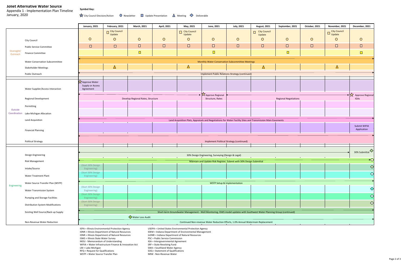#### **Joliet Alternative Water Source**

January, 2020

Appendix 1 ‐ Implementation Plan Timeline **Symbol Key:**

 $\bigstar$  City Council Decision/Action  $\qquad$  O Newsletter  $\qquad \Box$  Update Presentation  $\qquad \Delta$  Meeting  $\qquad \diamondsuit$  Deliverable

|                         |                                          | January, 2021                                                                                                                                                                                                        | February, 2021                                        | March, 2021                       | April, 2021                                                     | May, 2021                                                                                                               | June, 2021                                                                                           | <b>July, 2021</b>                      | <b>August, 2021</b> | September, 2021 | October, 2021 | November, 2021                   | December, 2021   |  |  |
|-------------------------|------------------------------------------|----------------------------------------------------------------------------------------------------------------------------------------------------------------------------------------------------------------------|-------------------------------------------------------|-----------------------------------|-----------------------------------------------------------------|-------------------------------------------------------------------------------------------------------------------------|------------------------------------------------------------------------------------------------------|----------------------------------------|---------------------|-----------------|---------------|----------------------------------|------------------|--|--|
|                         |                                          |                                                                                                                                                                                                                      | City Council                                          |                                   |                                                                 | City Council                                                                                                            |                                                                                                      |                                        | City Council        |                 |               | $\square$ City Council<br>Update |                  |  |  |
|                         |                                          |                                                                                                                                                                                                                      | Update                                                |                                   |                                                                 | Update                                                                                                                  |                                                                                                      |                                        | Update              |                 |               |                                  |                  |  |  |
|                         | City Council                             | $\circ$                                                                                                                                                                                                              | $\circ$                                               | $\circ$                           | $\circ$                                                         | $\circ$                                                                                                                 | $\circ$                                                                                              | $\circ$                                | $\circ$             | $\circ$         | $\circ$       | $\circ$                          | $\circ$          |  |  |
|                         | <b>Public Service Committee</b>          | $\Box$                                                                                                                                                                                                               | $\Box$                                                | $\Box$                            | $\Box$                                                          | $\Box$                                                                                                                  | $\Box$                                                                                               | $\Box$                                 | $\Box$              | $\Box$          | $\Box$        | $\Box$                           | $\Box$           |  |  |
| Oversight/              | <b>Finance Committee</b>                 |                                                                                                                                                                                                                      |                                                       | $\Box$                            |                                                                 |                                                                                                                         | $\Box$                                                                                               |                                        |                     | $\Box$          |               |                                  | $\Box$           |  |  |
| Outreach                |                                          |                                                                                                                                                                                                                      |                                                       |                                   |                                                                 |                                                                                                                         |                                                                                                      |                                        |                     |                 |               |                                  |                  |  |  |
|                         | <b>Water Conservation Subcommittee</b>   |                                                                                                                                                                                                                      |                                                       |                                   |                                                                 |                                                                                                                         | Monthly Water Conservation Subcommittee Meetings                                                     |                                        |                     |                 |               |                                  |                  |  |  |
|                         | <b>Stakeholder Meetings</b>              |                                                                                                                                                                                                                      | Δ                                                     |                                   |                                                                 | $\Delta$                                                                                                                |                                                                                                      |                                        | $\Delta$            |                 |               | $\Delta$                         |                  |  |  |
|                         |                                          |                                                                                                                                                                                                                      |                                                       |                                   |                                                                 |                                                                                                                         |                                                                                                      |                                        |                     |                 |               |                                  |                  |  |  |
|                         | Public Outreach                          | Implement Public Relations Strategy (continued)                                                                                                                                                                      |                                                       |                                   |                                                                 |                                                                                                                         |                                                                                                      |                                        |                     |                 |               |                                  |                  |  |  |
|                         |                                          |                                                                                                                                                                                                                      |                                                       |                                   |                                                                 |                                                                                                                         |                                                                                                      |                                        |                     |                 |               |                                  |                  |  |  |
|                         |                                          | 又 Approve Water<br>Supply or Access                                                                                                                                                                                  |                                                       |                                   |                                                                 |                                                                                                                         |                                                                                                      |                                        |                     |                 |               |                                  |                  |  |  |
|                         | Water Supplier/Access Interaction        | Agreement                                                                                                                                                                                                            |                                                       |                                   |                                                                 |                                                                                                                         |                                                                                                      |                                        |                     |                 |               |                                  |                  |  |  |
|                         |                                          |                                                                                                                                                                                                                      |                                                       |                                   |                                                                 |                                                                                                                         |                                                                                                      |                                        |                     |                 |               |                                  | Approve Regional |  |  |
|                         | Regional Development                     |                                                                                                                                                                                                                      |                                                       | Develop Regional Rates, Structure |                                                                 |                                                                                                                         | $\rightarrow \cancel{\text{N}}$ Approve Regional<br>Structure, Rates<br><b>Regional Negotiations</b> |                                        |                     |                 |               |                                  |                  |  |  |
|                         |                                          |                                                                                                                                                                                                                      |                                                       |                                   |                                                                 |                                                                                                                         |                                                                                                      |                                        |                     |                 |               |                                  | IGAs             |  |  |
|                         | Permitting                               |                                                                                                                                                                                                                      |                                                       |                                   |                                                                 |                                                                                                                         |                                                                                                      |                                        |                     |                 |               |                                  |                  |  |  |
| Outside<br>Coordination |                                          |                                                                                                                                                                                                                      |                                                       |                                   |                                                                 |                                                                                                                         |                                                                                                      |                                        |                     |                 |               |                                  |                  |  |  |
|                         | Lake Michigan Allocation                 |                                                                                                                                                                                                                      |                                                       |                                   |                                                                 |                                                                                                                         |                                                                                                      |                                        |                     |                 |               |                                  |                  |  |  |
|                         | Land Acquisition                         |                                                                                                                                                                                                                      |                                                       |                                   |                                                                 | Land Acquisition Plats, Appraisals and Negotiations for Water Facility Sites and Transmission Main Easements            |                                                                                                      |                                        |                     |                 |               |                                  |                  |  |  |
|                         |                                          |                                                                                                                                                                                                                      |                                                       |                                   |                                                                 |                                                                                                                         |                                                                                                      |                                        |                     |                 |               |                                  | Submit WIFIA     |  |  |
|                         | <b>Financial Planning</b>                |                                                                                                                                                                                                                      |                                                       |                                   |                                                                 |                                                                                                                         |                                                                                                      |                                        |                     |                 |               |                                  | Application      |  |  |
|                         |                                          |                                                                                                                                                                                                                      |                                                       |                                   |                                                                 |                                                                                                                         |                                                                                                      |                                        |                     |                 |               |                                  |                  |  |  |
|                         |                                          |                                                                                                                                                                                                                      |                                                       |                                   |                                                                 |                                                                                                                         |                                                                                                      |                                        |                     |                 |               |                                  |                  |  |  |
|                         | <b>Political Strategy</b>                | Implement Political Strategy (continued)                                                                                                                                                                             |                                                       |                                   |                                                                 |                                                                                                                         |                                                                                                      |                                        |                     |                 |               |                                  |                  |  |  |
|                         |                                          |                                                                                                                                                                                                                      |                                                       |                                   |                                                                 |                                                                                                                         |                                                                                                      |                                        |                     |                 |               |                                  |                  |  |  |
|                         |                                          | 30% Submittal                                                                                                                                                                                                        |                                                       |                                   |                                                                 |                                                                                                                         |                                                                                                      |                                        |                     |                 |               |                                  |                  |  |  |
|                         | Design Engineering                       | 30% Design Engineering, Surveying (Design & Legal)                                                                                                                                                                   |                                                       |                                   |                                                                 |                                                                                                                         |                                                                                                      |                                        |                     |                 |               |                                  |                  |  |  |
|                         | <b>Risk Management</b>                   |                                                                                                                                                                                                                      |                                                       |                                   |                                                                 |                                                                                                                         | Maintain and Update Risk Register, Submit with 30% Design Submittal                                  |                                        |                     |                 |               |                                  | $\bm{\star}$     |  |  |
|                         |                                          | (Start 30% Design                                                                                                                                                                                                    |                                                       |                                   |                                                                 |                                                                                                                         |                                                                                                      |                                        |                     |                 |               |                                  | $\Diamond$       |  |  |
|                         | Intake/Source                            | Engineering)<br>(Start 30% Design                                                                                                                                                                                    |                                                       |                                   |                                                                 |                                                                                                                         |                                                                                                      |                                        |                     |                 |               |                                  |                  |  |  |
|                         | <b>Water Treatment Plant</b>             | Engineering)                                                                                                                                                                                                         |                                                       |                                   |                                                                 |                                                                                                                         |                                                                                                      |                                        |                     |                 |               |                                  | $\Diamond$       |  |  |
|                         |                                          |                                                                                                                                                                                                                      |                                                       |                                   |                                                                 |                                                                                                                         |                                                                                                      |                                        |                     |                 |               |                                  |                  |  |  |
| Engineering             | Water Source Transfer Plan (WSTP)        |                                                                                                                                                                                                                      |                                                       |                                   |                                                                 |                                                                                                                         |                                                                                                      | <b>WSTP Setup &amp; Implementation</b> |                     |                 |               |                                  |                  |  |  |
|                         | <b>Water Transmission System</b>         | (Start 30% Design<br>Engineering)                                                                                                                                                                                    |                                                       |                                   |                                                                 |                                                                                                                         |                                                                                                      |                                        |                     |                 |               |                                  | $\Diamond$       |  |  |
|                         |                                          | (Start 30% Design                                                                                                                                                                                                    |                                                       |                                   |                                                                 |                                                                                                                         |                                                                                                      |                                        |                     |                 |               |                                  |                  |  |  |
|                         | Pumping and Storage Facilities           | Engineering)                                                                                                                                                                                                         |                                                       |                                   |                                                                 |                                                                                                                         |                                                                                                      |                                        |                     |                 |               |                                  | $\Diamond$       |  |  |
|                         |                                          | (Start 30% Design)                                                                                                                                                                                                   |                                                       |                                   |                                                                 |                                                                                                                         |                                                                                                      |                                        |                     |                 |               |                                  | $\Diamond$       |  |  |
|                         | <b>Distribution System Modifications</b> | Engineering)                                                                                                                                                                                                         |                                                       |                                   |                                                                 |                                                                                                                         |                                                                                                      |                                        |                     |                 |               |                                  |                  |  |  |
|                         | Existing Well Source/Back-up Supply      |                                                                                                                                                                                                                      |                                                       |                                   |                                                                 | Short-term Groundwater Management - Well Monitoring, ISWS model updates with Southwest Water Planning Group (continued) |                                                                                                      |                                        |                     |                 |               |                                  |                  |  |  |
|                         |                                          |                                                                                                                                                                                                                      |                                                       | ♦ Water Loss Audit                |                                                                 |                                                                                                                         |                                                                                                      |                                        |                     |                 |               |                                  |                  |  |  |
|                         | Non-Revenue Water Reduction              |                                                                                                                                                                                                                      |                                                       |                                   |                                                                 |                                                                                                                         |                                                                                                      |                                        |                     |                 |               |                                  |                  |  |  |
|                         |                                          | Continued Non-revenue Water Reduction Efforts, 1.0% Annual Watermain Replacement                                                                                                                                     |                                                       |                                   |                                                                 |                                                                                                                         |                                                                                                      |                                        |                     |                 |               |                                  |                  |  |  |
|                         |                                          | IEPA = Illinois Environmental Protection Agency<br>USEPA = United States Environmental Protection Agency<br>IDNR = Illinois Department of Natural Resources<br>IDEM = Indiana Department of Environmental Management |                                                       |                                   |                                                                 |                                                                                                                         |                                                                                                      |                                        |                     |                 |               |                                  |                  |  |  |
|                         |                                          | IDNR = Illinois Department of Natural Resources                                                                                                                                                                      |                                                       |                                   |                                                                 | InDNR = Indiana Department of Natural Resources                                                                         |                                                                                                      |                                        |                     |                 |               |                                  |                  |  |  |
|                         |                                          | <b>ISWS = Illinois State Water Survey</b><br>PSC = Public Service Commission                                                                                                                                         |                                                       |                                   |                                                                 |                                                                                                                         |                                                                                                      |                                        |                     |                 |               |                                  |                  |  |  |
|                         |                                          | MOU - Memorandum of Understanding                                                                                                                                                                                    | WIFIA = Water Infrastructure Finance & Innovation Act |                                   | IGA = Intergovernmental Agreement<br>SRF = State Revolving Fund |                                                                                                                         |                                                                                                      |                                        |                     |                 |               |                                  |                  |  |  |
|                         |                                          | LM = Lake Michigan                                                                                                                                                                                                   |                                                       |                                   | SWA = Southland Water Agency                                    |                                                                                                                         |                                                                                                      |                                        |                     |                 |               |                                  |                  |  |  |
|                         |                                          | RFQ = Request for Qualifications                                                                                                                                                                                     |                                                       |                                   | SOQ = Statement of Qualifications                               |                                                                                                                         |                                                                                                      |                                        |                     |                 |               |                                  |                  |  |  |
|                         |                                          | WSTP = Water Source Transfer Plan                                                                                                                                                                                    |                                                       |                                   | NRW - Non-Revenue Water                                         |                                                                                                                         |                                                                                                      |                                        |                     |                 |               |                                  |                  |  |  |